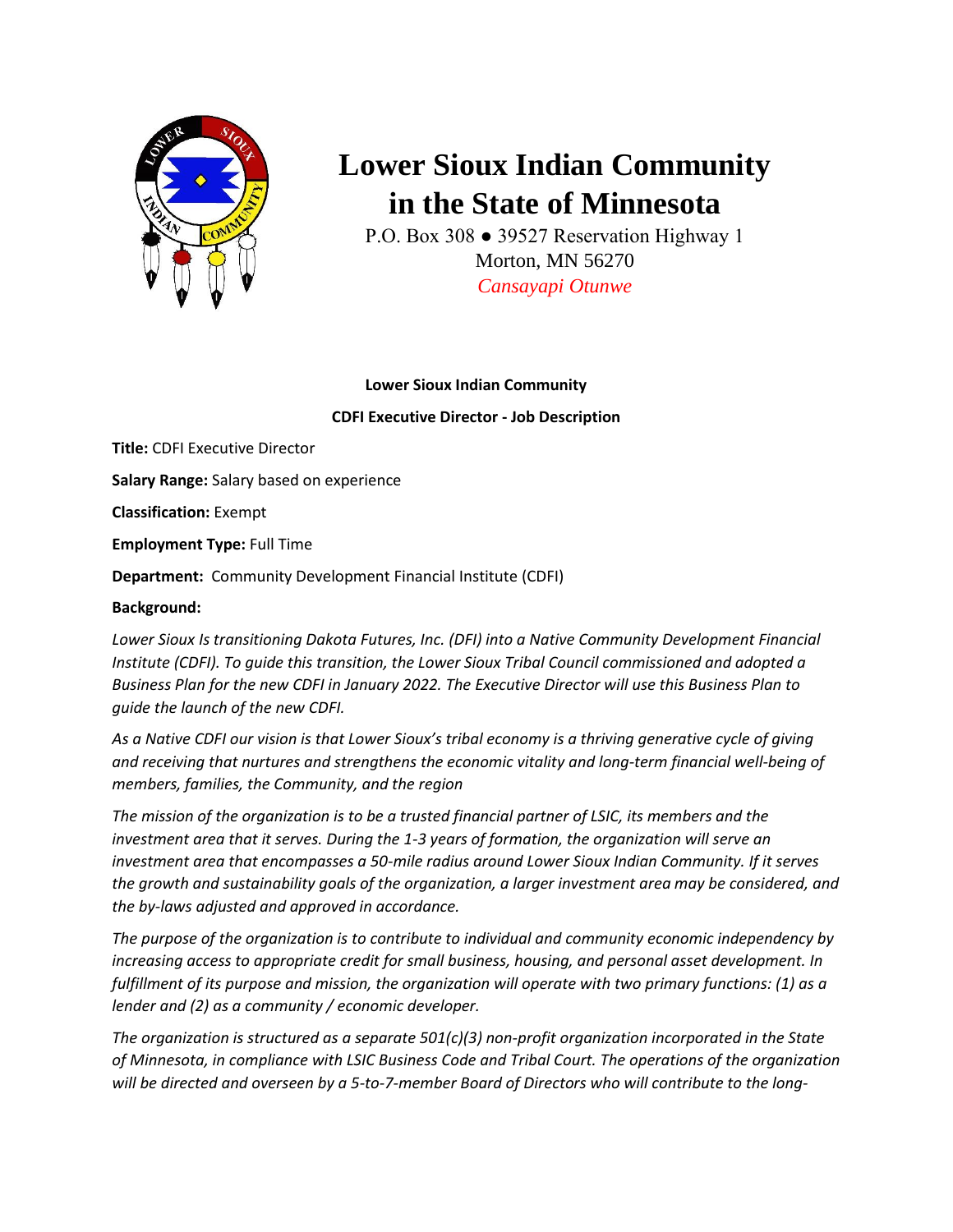

# **Lower Sioux Indian Community in the State of Minnesota**

P.O. Box 308 ● 39527 Reservation Highway 1 Morton, MN 56270 *Cansayapi Otunwe*

# **Lower Sioux Indian Community**

**CDFI Executive Director - Job Description**

**Title:** CDFI Executive Director **Salary Range:** Salary based on experience **Classification:** Exempt **Employment Type:** Full Time **Department:** Community Development Financial Institute (CDFI)

# **Background:**

*Lower Sioux Is transitioning Dakota Futures, Inc. (DFI) into a Native Community Development Financial Institute (CDFI). To guide this transition, the Lower Sioux Tribal Council commissioned and adopted a Business Plan for the new CDFI in January 2022. The Executive Director will use this Business Plan to guide the launch of the new CDFI.* 

*As a Native CDFI our vision is that Lower Sioux's tribal economy is a thriving generative cycle of giving and receiving that nurtures and strengthens the economic vitality and long-term financial well-being of members, families, the Community, and the region* 

*The mission of the organization is to be a trusted financial partner of LSIC, its members and the investment area that it serves. During the 1-3 years of formation, the organization will serve an investment area that encompasses a 50-mile radius around Lower Sioux Indian Community. If it serves the growth and sustainability goals of the organization, a larger investment area may be considered, and the by-laws adjusted and approved in accordance.* 

*The purpose of the organization is to contribute to individual and community economic independency by increasing access to appropriate credit for small business, housing, and personal asset development. In fulfillment of its purpose and mission, the organization will operate with two primary functions: (1) as a lender and (2) as a community / economic developer.* 

*The organization is structured as a separate 501(c)(3) non-profit organization incorporated in the State of Minnesota, in compliance with LSIC Business Code and Tribal Court. The operations of the organization will be directed and overseen by a 5-to-7-member Board of Directors who will contribute to the long-*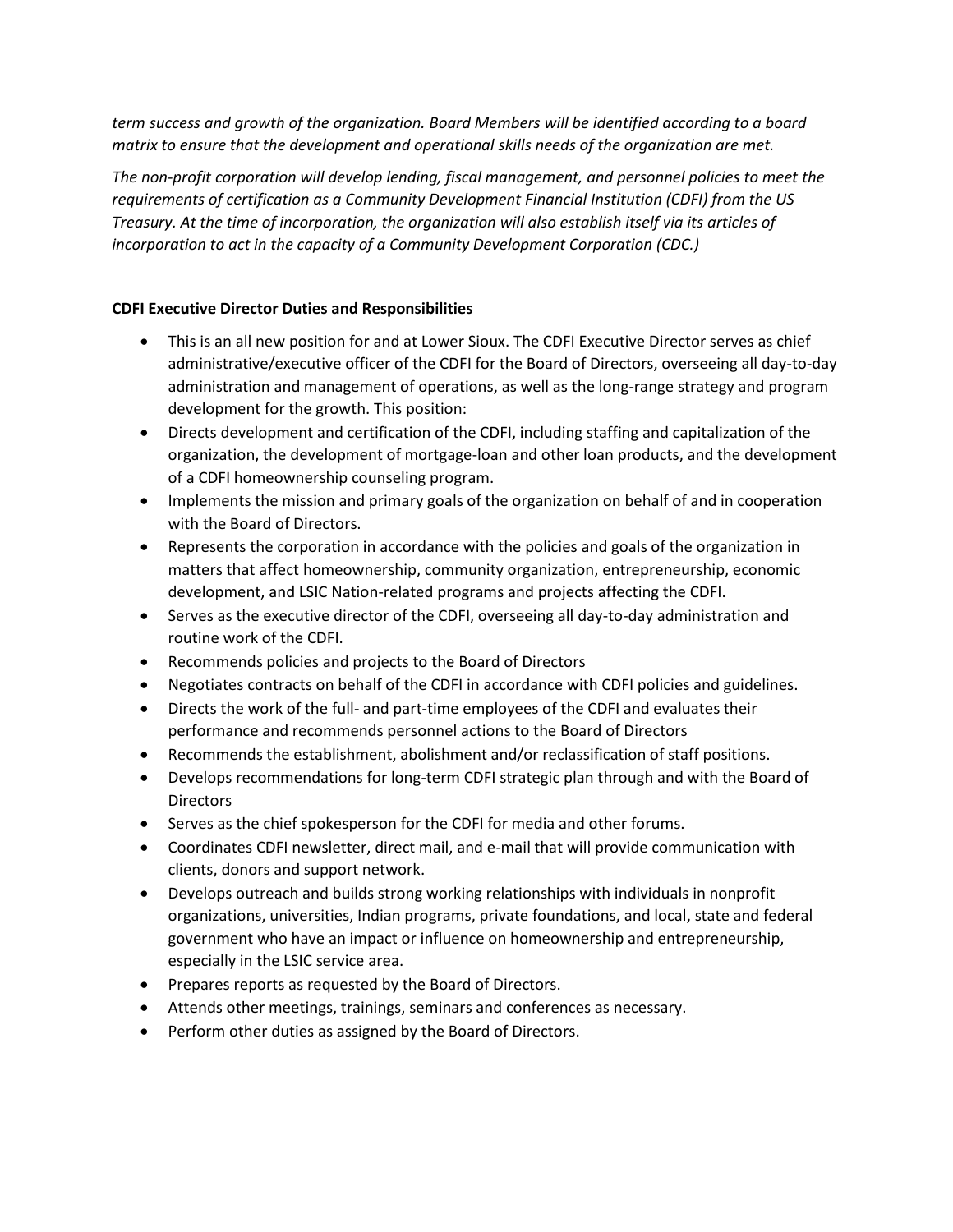*term success and growth of the organization. Board Members will be identified according to a board matrix to ensure that the development and operational skills needs of the organization are met.* 

*The non-profit corporation will develop lending, fiscal management, and personnel policies to meet the requirements of certification as a Community Development Financial Institution (CDFI) from the US Treasury. At the time of incorporation, the organization will also establish itself via its articles of incorporation to act in the capacity of a Community Development Corporation (CDC.)* 

## **CDFI Executive Director Duties and Responsibilities**

- This is an all new position for and at Lower Sioux. The CDFI Executive Director serves as chief administrative/executive officer of the CDFI for the Board of Directors, overseeing all day-to-day administration and management of operations, as well as the long-range strategy and program development for the growth. This position:
- Directs development and certification of the CDFI, including staffing and capitalization of the organization, the development of mortgage-loan and other loan products, and the development of a CDFI homeownership counseling program.
- Implements the mission and primary goals of the organization on behalf of and in cooperation with the Board of Directors.
- Represents the corporation in accordance with the policies and goals of the organization in matters that affect homeownership, community organization, entrepreneurship, economic development, and LSIC Nation-related programs and projects affecting the CDFI.
- Serves as the executive director of the CDFI, overseeing all day-to-day administration and routine work of the CDFI.
- Recommends policies and projects to the Board of Directors
- Negotiates contracts on behalf of the CDFI in accordance with CDFI policies and guidelines.
- Directs the work of the full- and part-time employees of the CDFI and evaluates their performance and recommends personnel actions to the Board of Directors
- Recommends the establishment, abolishment and/or reclassification of staff positions.
- Develops recommendations for long-term CDFI strategic plan through and with the Board of **Directors**
- Serves as the chief spokesperson for the CDFI for media and other forums.
- Coordinates CDFI newsletter, direct mail, and e-mail that will provide communication with clients, donors and support network.
- Develops outreach and builds strong working relationships with individuals in nonprofit organizations, universities, Indian programs, private foundations, and local, state and federal government who have an impact or influence on homeownership and entrepreneurship, especially in the LSIC service area.
- Prepares reports as requested by the Board of Directors.
- Attends other meetings, trainings, seminars and conferences as necessary.
- Perform other duties as assigned by the Board of Directors.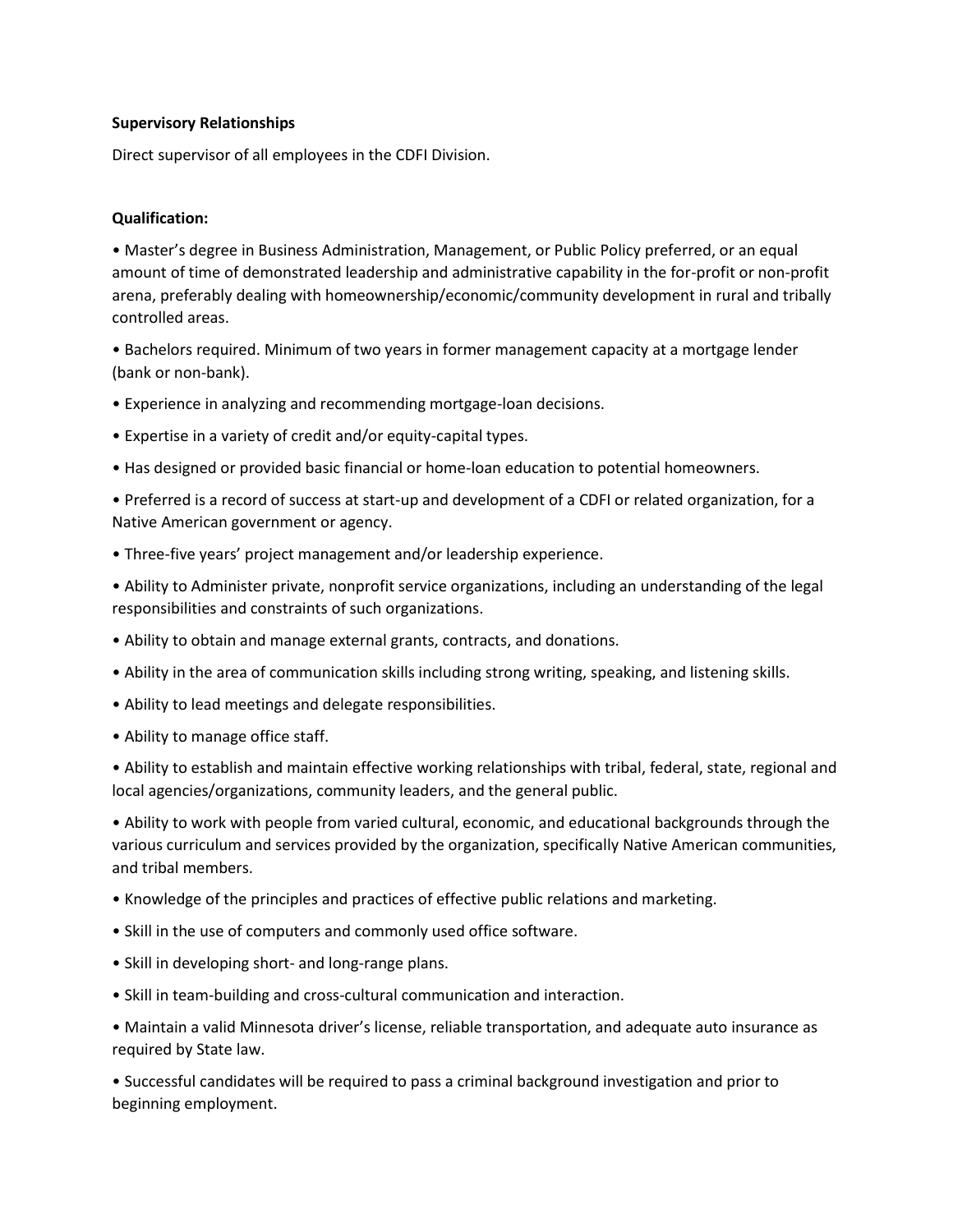### **Supervisory Relationships**

Direct supervisor of all employees in the CDFI Division.

## **Qualification:**

• Master's degree in Business Administration, Management, or Public Policy preferred, or an equal amount of time of demonstrated leadership and administrative capability in the for-profit or non-profit arena, preferably dealing with homeownership/economic/community development in rural and tribally controlled areas.

• Bachelors required. Minimum of two years in former management capacity at a mortgage lender (bank or non-bank).

• Experience in analyzing and recommending mortgage-loan decisions.

- Expertise in a variety of credit and/or equity-capital types.
- Has designed or provided basic financial or home-loan education to potential homeowners.

• Preferred is a record of success at start-up and development of a CDFI or related organization, for a Native American government or agency.

- Three-five years' project management and/or leadership experience.
- Ability to Administer private, nonprofit service organizations, including an understanding of the legal responsibilities and constraints of such organizations.
- Ability to obtain and manage external grants, contracts, and donations.
- Ability in the area of communication skills including strong writing, speaking, and listening skills.
- Ability to lead meetings and delegate responsibilities.
- Ability to manage office staff.

• Ability to establish and maintain effective working relationships with tribal, federal, state, regional and local agencies/organizations, community leaders, and the general public.

• Ability to work with people from varied cultural, economic, and educational backgrounds through the various curriculum and services provided by the organization, specifically Native American communities, and tribal members.

- Knowledge of the principles and practices of effective public relations and marketing.
- Skill in the use of computers and commonly used office software.
- Skill in developing short- and long-range plans.
- Skill in team-building and cross-cultural communication and interaction.

• Maintain a valid Minnesota driver's license, reliable transportation, and adequate auto insurance as required by State law.

• Successful candidates will be required to pass a criminal background investigation and prior to beginning employment.